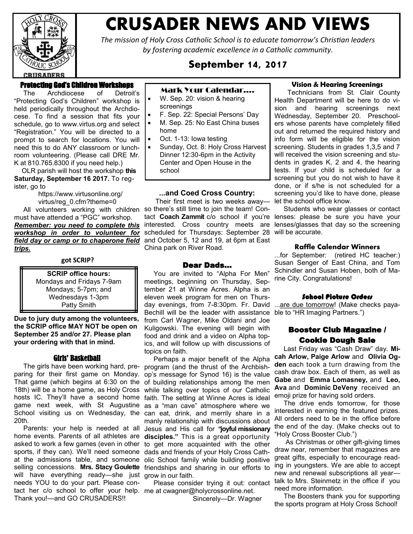

# **CRUSADER NEWS AND VIEWS**

*The mission of Holy Cross Catholic School is to educate tomorrow's Christian leaders by fostering academic excellence in a Catholic community.*

# **September 14, 2017**

## Protecting God's Children Workshops

 The Archdiocese of Detroit's "Protecting God's Children" workshop is held periodically throughout the Archdiocese. To find a session that fits your schedule, go to [www.virtus.org](http://www.virtus.org/) and select "Registration." You will be directed to a prompt to search for locations. You will need this to do ANY classroom or lunchroom volunteering. (Please call DRE Mr. K at 810.765.8300 if you need help.)

 OLR parish will host the workshop **this Saturday, September 16 2017.** To register, go to

> [https://www.virtusonline.org/](https://www.virtusonline.org/virtus/reg_0.cfm?theme=0) [virtus/reg\\_0.cfm?theme=0](https://www.virtusonline.org/virtus/reg_0.cfm?theme=0)

 All volunteers working with children so there's still time to join the team! Conmust have attended a "PGC" workshop. **Remember: you need to complete this** interested. Cross country meets are *workshop in order to volunteer for field day or camp or to chaperone field trips.*

#### **got SCRIP?**

**SCRIP office hours:** Mondays and Fridays 7-9am Mondays; 5-7pm; and Wednesdays 1-3pm Patty Smith

**Due to jury duty among the volunteers, the SCRIP office MAY NOT be open on September 25 and/or 27. Please plan your ordering with that in mind.**

#### Girls' Basketball

 The girls have been working hard, preparing for their first game on Monday. That game (which begins at 6:30 on the of building relationships among the men 18th) will be a home game, as Holy Cross hosts IC. They'll have a second home faith. The setting at Winne Acres is ideal game next week, with St Augustine as a "man cave" atmosphere where we School visiting us on Wednesday, the 20th.

 Parents: your help is needed at all Jesus and His call for **"joyful missionary**  home events. Parents of all athletes are **disciples."** This is a great opportunity asked to work a few games (even in other sports, if they can). We'll need someone at the admissions table, and someone selling concessions. **Mrs. Stacy Goulette** friendships and sharing in our efforts to will have everything ready—she just grow in our faith. needs YOU to do your part. Please contact her c/o school to offer your help. me at cwagner@holycrossonline.net. Thank you!—and GO CRUSADERS!!

## Mark Your Calendar….

- W. Sep. 20: vision & hearing screenings
- F. Sep. 22: Special Persons' Day
- M. Sep. 25: No East China buses home
- Oct. 1-13: Iowa testing
- Sunday, Oct. 8: Holy Cross Harvest Dinner 12:30-6pm in the Activity Center and Open House in the school

#### **...and Coed Cross Country:**

 Their first meet is two weeks away scheduled for Thursdays: September 28 and October 5, 12 and 19, at 6pm at East China park on River Road.

#### Dear Dads…

 You are invited to "Alpha For Men" meetings, beginning on Thursday, September 21 at Winne Acres. Alpha is an eleven week program for men on Thursday evenings, from 7-8:30pm. Fr. David Bechill will be the leader with assistance from Carl Wagner, Mike Oldani and Joe Kuligowski. The evening will begin with food and drink and a video on Alpha topics, and will follow up with discussions of topics on faith.

 Perhaps a major benefit of the Alpha program (and the thrust of the Archbishop's message for Synod 16) is the value while talking over topics of our Catholic can eat, drink, and merrily share in a manly relationship with discussions about to get more acquainted with the other dads and friends of your Holy Cross Catholic School family while building positive

Please consider trying it out: contact

Sincerely—Dr. Wagner

#### **Vision & Hearing Screenings**

 Technicians from St. Clair County Health Department will be here to do vision and hearing screenings next Wednesday, September 20. Preschoolers whose parents have completely filled out and returned the required history and info form will be eligible for the vision screening. Students in grades 1,3,5 and 7 will received the vision screening and students in grades K, 2 and 4, the hearing tests. If your child is scheduled for a screening but you do not wish to have it done, or if s/he is not scheduled for a screening you'd like to have done, please let the school office know.

tact **Coach Zammit** c/o school if you're lenses: please be sure you have your Students who wear glasses or contact lenses/glasses that day so the screening will be accurate.

## **Raffle Calendar Winners**

...for September: (retired HC teacher:) Susan Senger of East China, and Tom Schindler and Susan Hoben, both of Marine City. Congratulations!

#### School Picture Orders

...are due tomorrow! (Make checks payable to "HR Imaging Partners.")

# Booster Club Magazine / Cookie Dough Sale

 Last Friday was "Cash Draw" day. **Micah Arlow, Paige Arlow** and **Olivia Ogden** each took a turn drawing from the cash draw box. Each of them, as well as **Gabe** and **Emma Lomasney,** and **Leo, Ava** and **Dominic DeVeny** received an emoji prize for having sold orders.

 The drive ends tomorrow, for those interested in earning the featured prizes. All orders need to be in the office before the end of the day. (Make checks out to "Holy Cross Booster Club.")

 As Christmas or other gift-giving times draw near, remember that magazines are great gifts, especially to encourage reading in youngsters. We are able to accept new and renewal subscriptions all year talk to Mrs. Steinmetz in the office if you need more information.

 The Boosters thank you for supporting the sports program at Holy Cross School!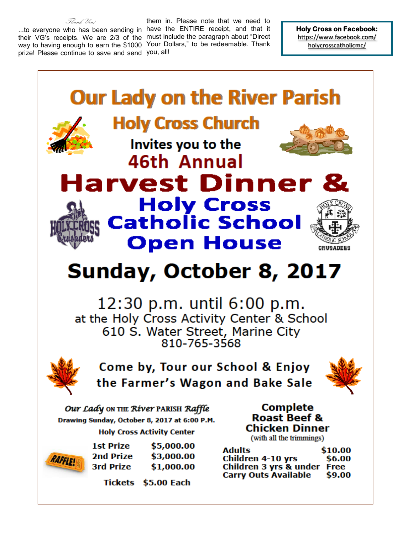Thank You! ...to everyone who has been sending in have the ENTIRE receipt, and that it their VG's receipts. We are 2/3 of the must include the paragraph about "Direct way to having enough to earn the \$1000 Your Dollars," to be redeemable. Thank prize! Please continue to save and send you, all!

them in. Please note that we need to

**Holy Cross on Facebook:**  [https://www.facebook.com/](https://www.facebook.com/holycrosscatholicmc/) [holycrosscatholicmc/](https://www.facebook.com/holycrosscatholicmc/)

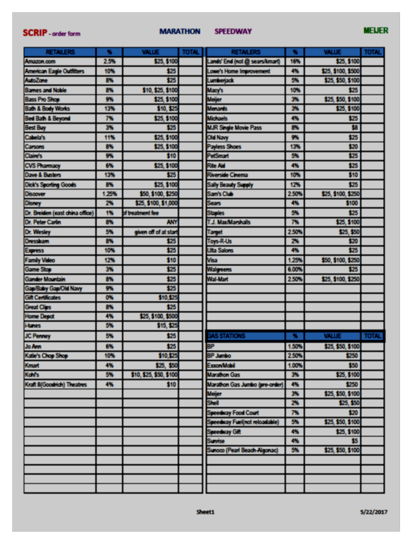# **SCRIP** - order form

## **MARATHON**

#### **SPEEDWAY**

# **MEUER**

| <b>RETAILERS</b>                 |       | <b>VALUE</b>            | <b>TOTAL</b> | <b>RETAILERS</b>               |       | <b>VALUE</b>       | <b>TOTAL</b> |
|----------------------------------|-------|-------------------------|--------------|--------------------------------|-------|--------------------|--------------|
| Amazon.com                       | 2.5%  | \$25, \$100             |              | Lands' End (not @ sears/kmart) | 16%   | \$25, \$100        |              |
| <b>American Eagle Outfitters</b> | 10%   | \$25                    |              | Lowe's Home Improvement        | 4%    | \$25, \$100, \$500 |              |
| <b>AutoZane</b>                  | 8%    | \$25                    |              | Lumberjack                     | 5%    | \$25, \$50, \$100  |              |
| <b>Barnes and Noble</b>          | 8%    | \$10, \$25, \$100       |              | Macy's                         | 10%   | \$25               |              |
| <b>Bass Pro Shop</b>             | 9%    | \$25, \$100             |              | Meijer                         | 3%    | \$25, \$50, \$100  |              |
| <b>Bath &amp; Body Works</b>     | 13%   | \$10, \$25              |              | Menards                        | 3%    | \$25, \$100        |              |
| <b>Bed Bath &amp; Beyond</b>     | 7%    | \$25, \$100             |              | <b>Michaels</b>                | 4%    | \$25               |              |
| <b>Best Buy</b>                  | 3%    | \$25                    |              | <b>MJR Single Movie Pass</b>   | 8%    | \$8                |              |
| Cabela's                         | 11%   | \$25, \$100             |              | <b>Old Navy</b>                | 9%    | \$25               |              |
| Carsons                          | 8%    | \$25, \$100             |              | <b>Payless Shoes</b>           | 13%   | \$20               |              |
| <b>Claire's</b>                  | 9%    | \$10                    |              | <b>PetSmart</b>                | 5%    | \$25               |              |
| <b>CVS Pharmacy</b>              | 6%    | \$25, \$100             |              | <b>Rite Aid</b>                | 4%    | \$25               |              |
| <b>Dave &amp; Busters</b>        | 13%   | \$25                    |              | <b>Riverside Cinema</b>        | 10%   | \$10               |              |
| <b>Dick's Sporting Goods</b>     | 8%    | \$25, \$100             |              | Sally Beauty Supply            | 12%   | \$25               |              |
| <b>Discover</b>                  | 1.25% | \$50, \$100, \$250      |              | Sam's Club                     | 250%  | \$25, \$100, \$250 |              |
| <b>Disney</b>                    | 2%    | \$25, \$100, \$1,000    |              | Sears                          | 4%    | \$100              |              |
| Dr. Breiden (east china office)  | 1%    | of treatment fee        |              | <b>Staples</b>                 | 5%    | \$25               |              |
| Dr. Peter Carlin                 | 8%    | ANY                     |              | T.J. MaxMarshalls              | 7%    | \$25, \$100        |              |
| Dr. Wesley                       | 5%    | given off of at start   |              | <b>Target</b>                  | 2.50% | \$25, \$50         |              |
| <b>Dressbarn</b>                 | 8%    | \$25                    |              | Toys-R-Us                      | 2%    | \$20               |              |
| <b>Express</b>                   | 10%   | \$25                    |              | <b>Ulta Salons</b>             | 4%    | \$25               |              |
| <b>Family Video</b>              | 12%   | \$10                    |              | Visa                           | 1.25% | \$50, \$100, \$250 |              |
| <b>Game Stop</b>                 | 3%    | \$25                    |              | <b>Walgreens</b>               | 6.00% | \$25               |              |
| <b>Gander Mountain</b>           | 8%    | \$25                    |              | <b>Wal-Mart</b>                | 2.50% | \$25, \$100, \$250 |              |
| Gan/Baby Gan/Old Navy            | 9%    | \$25                    |              |                                |       |                    |              |
| <b>Gift Certificates</b>         | 0%    | \$10,\$25               |              |                                |       |                    |              |
| <b>Great Clips</b>               | 8%    | \$25                    |              |                                |       |                    |              |
| <b>Home Depot</b>                | 4%    | \$25, \$100, \$500      |              |                                |       |                    |              |
| <b>i-tunes</b>                   | 5%    | \$15, \$25              |              |                                |       |                    |              |
| JC Penney                        | 5%    | \$25                    |              | <b>SAS STATIONS</b>            |       | <b>VALUE</b>       | <b>TOTAL</b> |
| <b>Jo Ann</b>                    | 6%    | \$25                    |              | <b>RP</b>                      | 1.50% | \$25, \$50, \$100  |              |
| Katie's Chop Shop                | 10%   | \$10,\$25               |              | BP Jumbo                       | 250%  | \$250              |              |
| Kmart                            | 4%    | \$25, \$50              |              | <b>Exxon/Mobil</b>             | 1.00% | \$50               |              |
| Kohl's                           | 5%    | \$10, \$25, \$50, \$100 |              | <b>Marathon Gas</b>            | 3%    | \$25, \$100        |              |
| Kraft 8(Goodrich) Theatres       | 4%    | \$10                    |              | Marathon Gas Jumbo (pre-order) | 4%    | \$250              |              |
|                                  |       |                         |              | Meijer                         | 3%    | \$25, \$50, \$100  |              |
|                                  |       |                         |              | Shell                          | 2%    | \$25, \$50         |              |
|                                  |       |                         |              | <b>Speedway Food Court</b>     | 7%    | \$20               |              |
|                                  |       |                         |              | Speedway Fuel(not reloadable)  | 5%    | \$25, \$50, \$100  |              |
|                                  |       |                         |              | <b>Speedway Gift</b>           | 4%    | \$25, \$100        |              |
|                                  |       |                         |              | Sunrise                        | 4%    | \$5                |              |
|                                  |       |                         |              | Sunoco (Pearl Beach-Algonac)   | 5%    | \$25, \$50, \$100  |              |
|                                  |       |                         |              |                                |       |                    |              |
|                                  |       |                         |              |                                |       |                    |              |
|                                  |       |                         |              |                                |       |                    |              |
|                                  |       |                         |              |                                |       |                    |              |